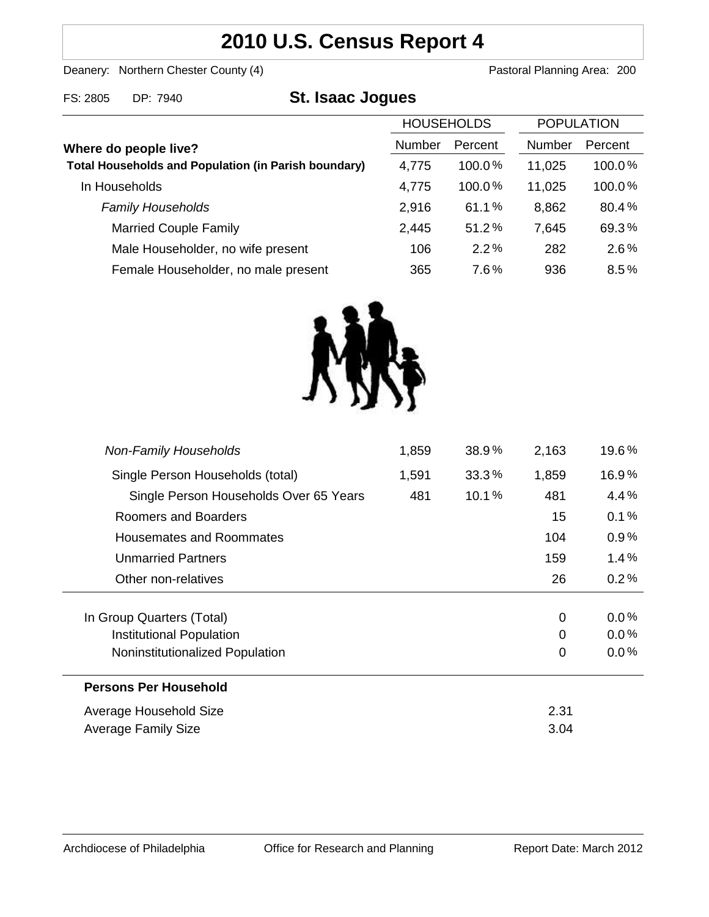# **2010 U.S. Census Report 4**

Deanery: Northern Chester County (4) Deanery: Northern Chester County (4)

FS: 2805 DP: 7940 **St. Isaac Jogues**

|                                                                                      | <b>HOUSEHOLDS</b> |           | <b>POPULATION</b> |         |
|--------------------------------------------------------------------------------------|-------------------|-----------|-------------------|---------|
| Where do people live?<br><b>Total Households and Population (in Parish boundary)</b> | <b>Number</b>     | Percent   | <b>Number</b>     | Percent |
|                                                                                      | 4,775             | $100.0\%$ | 11,025            | 100.0%  |
| In Households                                                                        | 4,775             | 100.0%    | 11,025            | 100.0%  |
| <b>Family Households</b>                                                             | 2,916             | 61.1%     | 8,862             | 80.4%   |
| <b>Married Couple Family</b>                                                         | 2,445             | 51.2%     | 7,645             | 69.3%   |
| Male Householder, no wife present                                                    | 106               | 2.2%      | 282               | 2.6%    |
| Female Householder, no male present                                                  | 365               | 7.6%      | 936               | 8.5%    |



| <b>Non-Family Households</b>           | 1,859 | 38.9% | 2,163    | 19.6%   |
|----------------------------------------|-------|-------|----------|---------|
| Single Person Households (total)       | 1,591 | 33.3% | 1,859    | 16.9%   |
| Single Person Households Over 65 Years | 481   | 10.1% | 481      | 4.4%    |
| Roomers and Boarders                   |       |       | 15       | 0.1%    |
| <b>Housemates and Roommates</b>        |       |       | 104      | 0.9%    |
| <b>Unmarried Partners</b>              |       |       | 159      | 1.4%    |
| Other non-relatives                    |       |       | 26       | 0.2%    |
|                                        |       |       |          |         |
| In Group Quarters (Total)              |       |       | 0        | $0.0\%$ |
| Institutional Population               |       |       | $\Omega$ | $0.0\%$ |
| Noninstitutionalized Population        |       |       | 0        | $0.0\%$ |
| <b>Persons Per Household</b>           |       |       |          |         |
| Average Household Size                 |       |       | 2.31     |         |
| Average Family Size                    |       |       | 3.04     |         |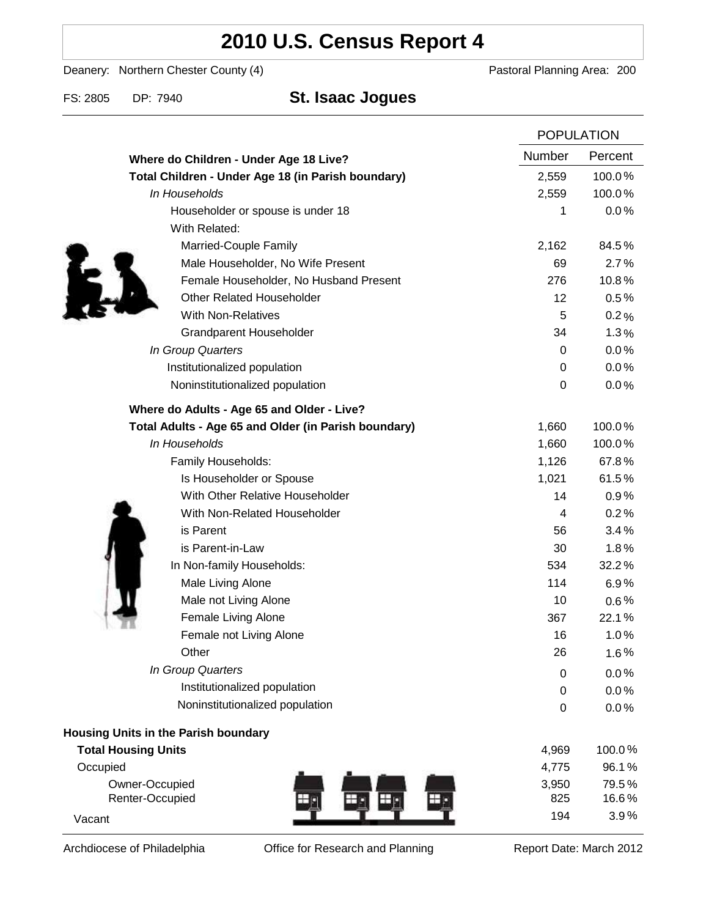# **2010 U.S. Census Report 4**

Deanery: Northern Chester County (4) Deanery: Northern Chester County (4)

# FS: 2805 DP: 7940 **St. Isaac Jogues**

|                                                      | <b>POPULATION</b> |           |
|------------------------------------------------------|-------------------|-----------|
| Where do Children - Under Age 18 Live?               | Number            | Percent   |
| Total Children - Under Age 18 (in Parish boundary)   | 2,559             | 100.0%    |
| In Households                                        | 2,559             | 100.0%    |
| Householder or spouse is under 18                    | 1                 | 0.0%      |
| With Related:                                        |                   |           |
| Married-Couple Family                                | 2,162             | 84.5%     |
| Male Householder, No Wife Present                    | 69                | 2.7%      |
| Female Householder, No Husband Present               | 276               | 10.8%     |
| <b>Other Related Householder</b>                     | 12                | 0.5%      |
| <b>With Non-Relatives</b>                            | 5                 | 0.2%      |
| <b>Grandparent Householder</b>                       | 34                | 1.3%      |
| In Group Quarters                                    | 0                 | $0.0\,\%$ |
| Institutionalized population                         | 0                 | 0.0%      |
| Noninstitutionalized population                      | 0                 | 0.0%      |
| Where do Adults - Age 65 and Older - Live?           |                   |           |
| Total Adults - Age 65 and Older (in Parish boundary) | 1,660             | 100.0%    |
| In Households                                        | 1,660             | 100.0%    |
| Family Households:                                   | 1,126             | 67.8%     |
| Is Householder or Spouse                             | 1,021             | 61.5%     |
| With Other Relative Householder                      | 14                | 0.9%      |
| With Non-Related Householder                         | 4                 | 0.2%      |
| is Parent                                            | 56                | 3.4%      |
| is Parent-in-Law                                     | 30                | 1.8%      |
| In Non-family Households:                            | 534               | 32.2%     |
| Male Living Alone                                    | 114               | 6.9%      |
| Male not Living Alone                                | 10                | $0.6\%$   |
| Female Living Alone                                  | 367               | 22.1%     |
| Female not Living Alone                              | 16                | 1.0%      |
| Other                                                | 26                | 1.6%      |
| In Group Quarters                                    | 0                 | 0.0%      |
| Institutionalized population                         | 0                 | 0.0%      |
| Noninstitutionalized population                      | 0                 | 0.0%      |
| Housing Units in the Parish boundary                 |                   |           |
| <b>Total Housing Units</b>                           | 4,969             | 100.0%    |
| Occupied                                             | 4,775             | 96.1%     |
| Owner-Occupied                                       | 3,950             | 79.5%     |
| Renter-Occupied                                      | 825               | 16.6%     |
| Vacant                                               | 194               | 3.9%      |

Archdiocese of Philadelphia **Office for Research and Planning** Report Date: March 2012